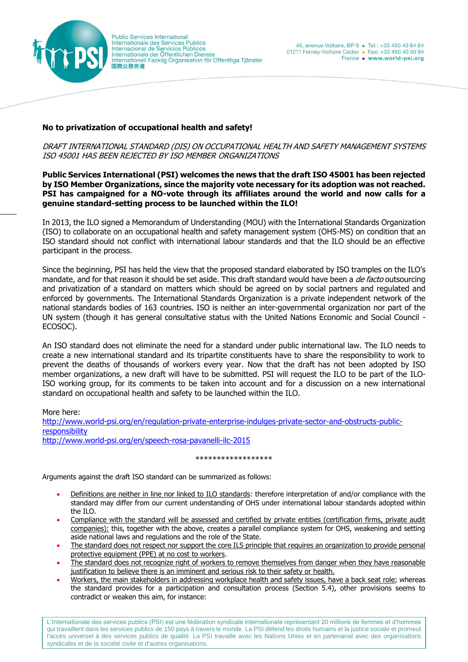

## **No to privatization of occupational health and safety!**

DRAFT INTERNATIONAL STANDARD (DIS) ON OCCUPATIONAL HEALTH AND SAFETY MANAGEMENT SYSTEMS ISO 45001 HAS BEEN REJECTED BY ISO MEMBER ORGANIZATIONS

## **Public Services International (PSI) welcomes the news that the draft ISO 45001 has been rejected by ISO Member Organizations, since the majority vote necessary for its adoption was not reached. PSI has campaigned for a NO-vote through its affiliates around the world and now calls for a genuine standard-setting process to be launched within the ILO!**

In 2013, the ILO signed a Memorandum of Understanding (MOU) with the International Standards Organization (ISO) to collaborate on an occupational health and safety management system (OHS-MS) on condition that an ISO standard should not conflict with international labour standards and that the ILO should be an effective participant in the process.

Since the beginning, PSI has held the view that the proposed standard elaborated by ISO tramples on the ILO's mandate, and for that reason it should be set aside. This draft standard would have been a de facto outsourcing and privatization of a standard on matters which should be agreed on by social partners and regulated and enforced by governments. The International Standards Organization is a private independent network of the national standards bodies of 163 countries. ISO is neither an inter-governmental organization nor part of the UN system (though it has general consultative status with the United Nations Economic and Social Council - ECOSOC).

An ISO standard does not eliminate the need for a standard under public international law. The ILO needs to create a new international standard and its tripartite constituents have to share the responsibility to work to prevent the deaths of thousands of workers every year. Now that the draft has not been adopted by ISO member organizations, a new draft will have to be submitted. PSI will request the ILO to be part of the ILO-ISO working group, for its comments to be taken into account and for a discussion on a new international standard on occupational health and safety to be launched within the ILO.

More here:

[http://www.world-psi.org/en/regulation-private-enterprise-indulges-private-sector-and-obstructs-public](http://www.world-psi.org/en/regulation-private-enterprise-indulges-private-sector-and-obstructs-public-responsibility)[responsibility](http://www.world-psi.org/en/regulation-private-enterprise-indulges-private-sector-and-obstructs-public-responsibility) <http://www.world-psi.org/en/speech-rosa-pavanelli-ilc-2015>

## \*\*\*\*\*\*\*\*\*\*\*\*\*\*\*\*

Arguments against the draft ISO standard can be summarized as follows:

- Definitions are neither in line nor linked to ILO standards: therefore interpretation of and/or compliance with the standard may differ from our current understanding of OHS under international labour standards adopted within the ILO.
- Compliance with the standard will be assessed and certified by private entities (certification firms, private audit companies): this, together with the above, creates a parallel compliance system for OHS, weakening and setting aside national laws and regulations and the role of the State.
- The standard does not respect nor support the core ILS principle that requires an organization to provide personal protective equipment (PPE) at no cost to workers.
- The standard does not recognize right of workers to remove themselves from danger when they have reasonable justification to believe there is an imminent and serious risk to their safety or health.
- Workers, the main stakeholders in addressing workplace health and safety issues, have a back seat role; whereas the standard provides for a participation and consultation process (Section 5.4), other provisions seems to contradict or weaken this aim, for instance:

L'Internationale des services publics (PSI) est une fédération syndicale internationale représentant 20 millions de femmes et d'hommes qui travaillent dans les services publics de 150 pays à travers le monde. La PSI défend les droits humains et la justice sociale et promeut l'accès universel à des services publics de qualité. La PSI travaille avec les Nations Unies et en partenariat avec des organisations syndicales et de la société civile et d'autres organisations.